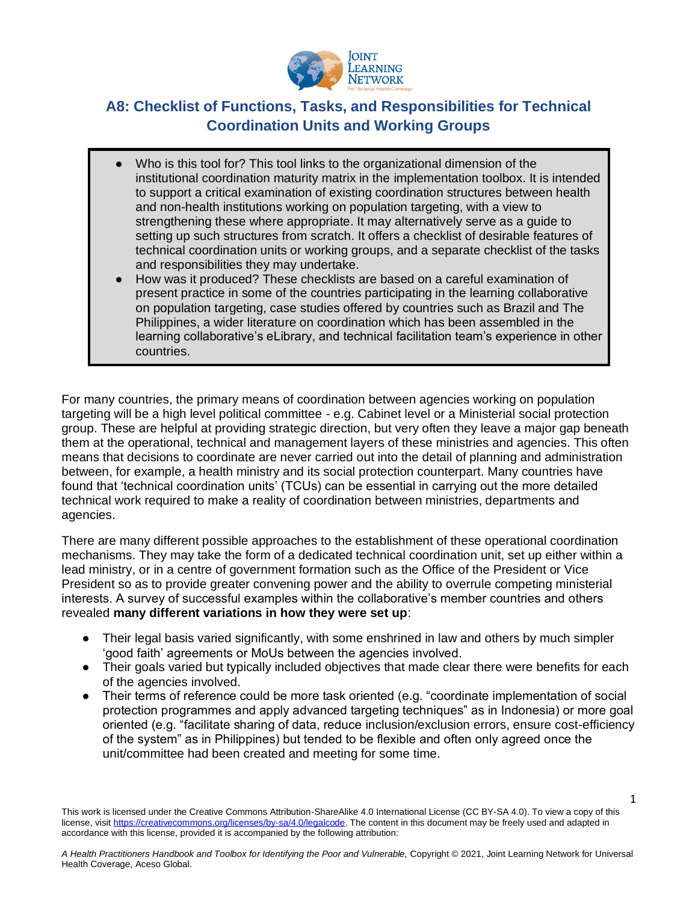

## **A8: Checklist of Functions, Tasks, and Responsibilities for Technical Coordination Units and Working Groups**

- Who is this tool for? This tool links to the organizational dimension of the institutional coordination maturity matrix in the implementation toolbox. It is intended to support a critical examination of existing coordination structures between health and non-health institutions working on population targeting, with a view to strengthening these where appropriate. It may alternatively serve as a guide to setting up such structures from scratch. It offers a checklist of desirable features of technical coordination units or working groups, and a separate checklist of the tasks and responsibilities they may undertake.
- How was it produced? These checklists are based on a careful examination of present practice in some of the countries participating in the learning collaborative on population targeting, case studies offered by countries such as Brazil and The Philippines, a wider literature on coordination which has been assembled in the learning collaborative's eLibrary, and technical facilitation team's experience in other countries.

For many countries, the primary means of coordination between agencies working on population targeting will be a high level political committee - e.g. Cabinet level or a Ministerial social protection group. These are helpful at providing strategic direction, but very often they leave a major gap beneath them at the operational, technical and management layers of these ministries and agencies. This often means that decisions to coordinate are never carried out into the detail of planning and administration between, for example, a health ministry and its social protection counterpart. Many countries have found that 'technical coordination units' (TCUs) can be essential in carrying out the more detailed technical work required to make a reality of coordination between ministries, departments and agencies.

There are many different possible approaches to the establishment of these operational coordination mechanisms. They may take the form of a dedicated technical coordination unit, set up either within a lead ministry, or in a centre of government formation such as the Office of the President or Vice President so as to provide greater convening power and the ability to overrule competing ministerial interests. A survey of successful examples within the collaborative's member countries and others revealed **many different variations in how they were set up**:

- Their legal basis varied significantly, with some enshrined in law and others by much simpler 'good faith' agreements or MoUs between the agencies involved.
- Their goals varied but typically included objectives that made clear there were benefits for each of the agencies involved.
- Their terms of reference could be more task oriented (e.g. "coordinate implementation of social protection programmes and apply advanced targeting techniques" as in Indonesia) or more goal oriented (e.g. "facilitate sharing of data, reduce inclusion/exclusion errors, ensure cost-efficiency of the system" as in Philippines) but tended to be flexible and often only agreed once the unit/committee had been created and meeting for some time.

1

This work is licensed under the Creative Commons Attribution-ShareAlike 4.0 International License (CC BY-SA 4.0). To view a copy of this license, visi[t https://creativecommons.org/licenses/by-sa/4.0/legalcode.](https://creativecommons.org/licenses/by-sa/4.0/legalcode) The content in this document may be freely used and adapted in accordance with this license, provided it is accompanied by the following attribution: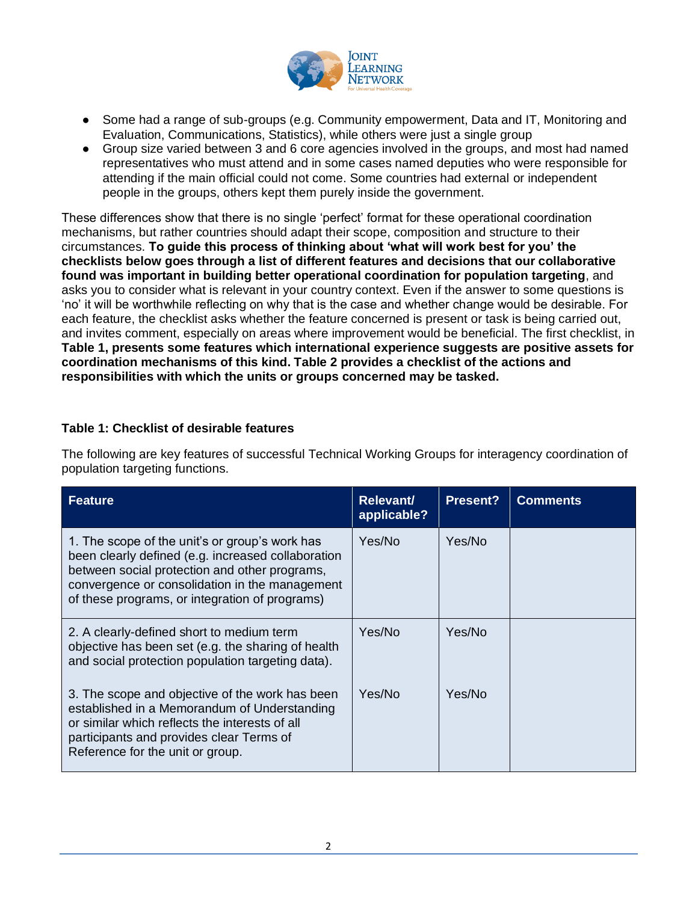

- Some had a range of sub-groups (e.g. Community empowerment, Data and IT, Monitoring and Evaluation, Communications, Statistics), while others were just a single group
- Group size varied between 3 and 6 core agencies involved in the groups, and most had named representatives who must attend and in some cases named deputies who were responsible for attending if the main official could not come. Some countries had external or independent people in the groups, others kept them purely inside the government.

These differences show that there is no single 'perfect' format for these operational coordination mechanisms, but rather countries should adapt their scope, composition and structure to their circumstances. **To guide this process of thinking about 'what will work best for you' the checklists below goes through a list of different features and decisions that our collaborative found was important in building better operational coordination for population targeting**, and asks you to consider what is relevant in your country context. Even if the answer to some questions is 'no' it will be worthwhile reflecting on why that is the case and whether change would be desirable. For each feature, the checklist asks whether the feature concerned is present or task is being carried out, and invites comment, especially on areas where improvement would be beneficial. The first checklist, in **Table 1, presents some features which international experience suggests are positive assets for coordination mechanisms of this kind. Table 2 provides a checklist of the actions and responsibilities with which the units or groups concerned may be tasked.**

## **Table 1: Checklist of desirable features**

The following are key features of successful Technical Working Groups for interagency coordination of population targeting functions.

| <b>Feature</b>                                                                                                                                                                                                                                            | <b>Relevant/</b><br>applicable? | <b>Present?</b> | <b>Comments</b> |
|-----------------------------------------------------------------------------------------------------------------------------------------------------------------------------------------------------------------------------------------------------------|---------------------------------|-----------------|-----------------|
| 1. The scope of the unit's or group's work has<br>been clearly defined (e.g. increased collaboration<br>between social protection and other programs,<br>convergence or consolidation in the management<br>of these programs, or integration of programs) | Yes/No                          | Yes/No          |                 |
| 2. A clearly-defined short to medium term<br>objective has been set (e.g. the sharing of health<br>and social protection population targeting data).                                                                                                      | Yes/No                          | Yes/No          |                 |
| 3. The scope and objective of the work has been<br>established in a Memorandum of Understanding<br>or similar which reflects the interests of all<br>participants and provides clear Terms of<br>Reference for the unit or group.                         | Yes/No                          | Yes/No          |                 |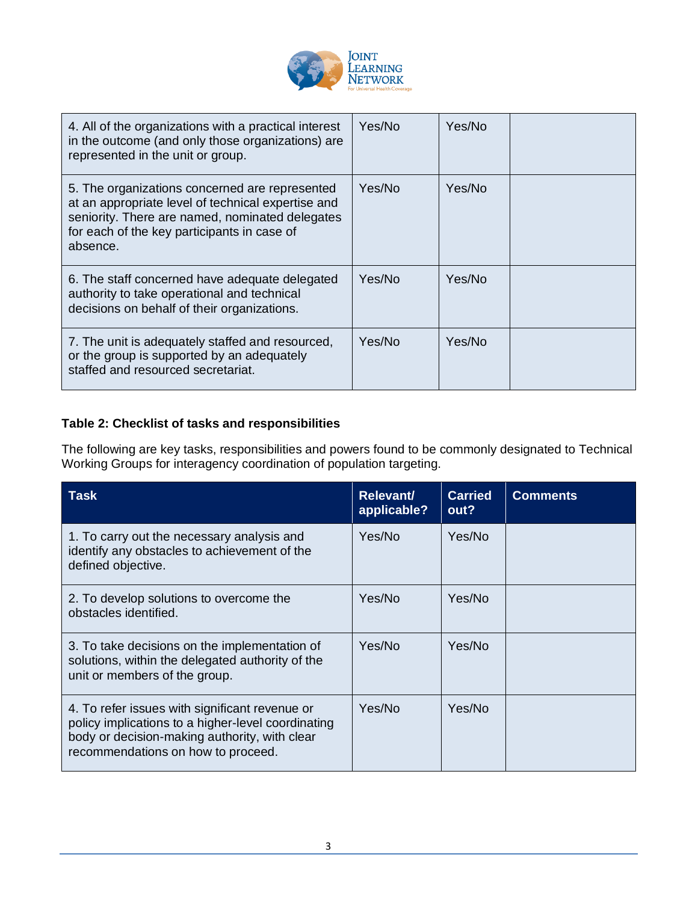

| 4. All of the organizations with a practical interest<br>in the outcome (and only those organizations) are<br>represented in the unit or group.                                                                    | Yes/No | Yes/No |  |
|--------------------------------------------------------------------------------------------------------------------------------------------------------------------------------------------------------------------|--------|--------|--|
| 5. The organizations concerned are represented<br>at an appropriate level of technical expertise and<br>seniority. There are named, nominated delegates<br>for each of the key participants in case of<br>absence. | Yes/No | Yes/No |  |
| 6. The staff concerned have adequate delegated<br>authority to take operational and technical<br>decisions on behalf of their organizations.                                                                       | Yes/No | Yes/No |  |
| 7. The unit is adequately staffed and resourced,<br>or the group is supported by an adequately<br>staffed and resourced secretariat.                                                                               | Yes/No | Yes/No |  |

## **Table 2: Checklist of tasks and responsibilities**

The following are key tasks, responsibilities and powers found to be commonly designated to Technical Working Groups for interagency coordination of population targeting.

| Task                                                                                                                                                                                        | Relevant/<br>applicable? | <b>Carried</b><br>out? | <b>Comments</b> |
|---------------------------------------------------------------------------------------------------------------------------------------------------------------------------------------------|--------------------------|------------------------|-----------------|
| 1. To carry out the necessary analysis and<br>identify any obstacles to achievement of the<br>defined objective.                                                                            | Yes/No                   | Yes/No                 |                 |
| 2. To develop solutions to overcome the<br>obstacles identified.                                                                                                                            | Yes/No                   | Yes/No                 |                 |
| 3. To take decisions on the implementation of<br>solutions, within the delegated authority of the<br>unit or members of the group.                                                          | Yes/No                   | Yes/No                 |                 |
| 4. To refer issues with significant revenue or<br>policy implications to a higher-level coordinating<br>body or decision-making authority, with clear<br>recommendations on how to proceed. | Yes/No                   | Yes/No                 |                 |